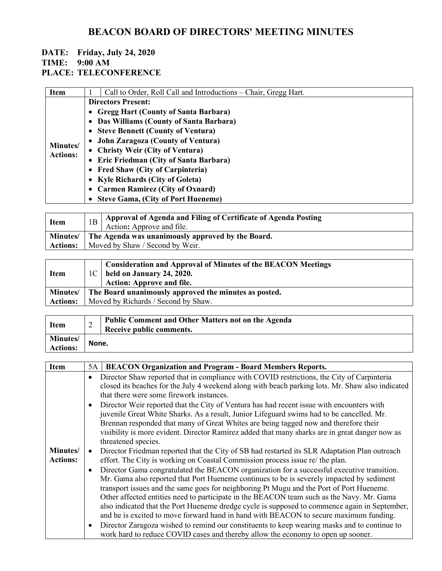#### **DATE: Friday, July 24, 2020 TIME: 9:00 AM**

### **PLACE: TELECONFERENCE**

| <b>Item</b>                 |                                     | Call to Order, Roll Call and Introductions – Chair, Gregg Hart. |  |
|-----------------------------|-------------------------------------|-----------------------------------------------------------------|--|
|                             |                                     | <b>Directors Present:</b>                                       |  |
|                             |                                     | • Gregg Hart (County of Santa Barbara)                          |  |
|                             |                                     | • Das Williams (County of Santa Barbara)                        |  |
|                             | • Steve Bennett (County of Ventura) |                                                                 |  |
|                             |                                     | • John Zaragoza (County of Ventura)                             |  |
| Minutes/<br><b>Actions:</b> |                                     | • Christy Weir (City of Ventura)                                |  |
|                             |                                     | • Eric Friedman (City of Santa Barbara)                         |  |
|                             |                                     | • Fred Shaw (City of Carpinteria)                               |  |
|                             |                                     | • Kyle Richards (City of Goleta)                                |  |
|                             |                                     | • Carmen Ramirez (City of Oxnard)                               |  |
|                             |                                     | • Steve Gama, (City of Port Hueneme)                            |  |

| Item            |                                                            | Approval of Agenda and Filing of Certificate of Agenda Posting<br>Action: Approve and file. |
|-----------------|------------------------------------------------------------|---------------------------------------------------------------------------------------------|
|                 | Minutes/ The Agenda was unanimously approved by the Board. |                                                                                             |
| <b>Actions:</b> |                                                            | Moved by Shaw / Second by Weir.                                                             |

| <b>Item</b>     | <b>Consideration and Approval of Minutes of the BEACON Meetings</b><br>$1C$ held on January 24, 2020.<br><b>Action: Approve and file.</b> |
|-----------------|-------------------------------------------------------------------------------------------------------------------------------------------|
| <b>Minutes/</b> | The Board unanimously approved the minutes as posted.                                                                                     |
| <b>Actions:</b> | Moved by Richards / Second by Shaw.                                                                                                       |

| <b>Item</b>                        | ∠     | <b>Public Comment and Other Matters not on the Agenda</b><br>Receive public comments. |
|------------------------------------|-------|---------------------------------------------------------------------------------------|
| <b>Minutes/</b><br><b>Actions:</b> | None. |                                                                                       |

| Item            | 5A | <b>BEACON Organization and Program - Board Members Reports.</b>                                  |
|-----------------|----|--------------------------------------------------------------------------------------------------|
|                 |    | Director Shaw reported that in compliance with COVID restrictions, the City of Carpinteria       |
|                 |    | closed its beaches for the July 4 weekend along with beach parking lots. Mr. Shaw also indicated |
|                 |    | that there were some firework instances.                                                         |
|                 |    | Director Weir reported that the City of Ventura has had recent issue with encounters with        |
|                 |    | juvenile Great White Sharks. As a result, Junior Lifeguard swims had to be cancelled. Mr.        |
|                 |    | Brennan responded that many of Great Whites are being tagged now and therefore their             |
|                 |    | visibility is more evident. Director Ramirez added that many sharks are in great danger now as   |
|                 |    | threatened species.                                                                              |
| Minutes/        |    | Director Friedman reported that the City of SB had restarted its SLR Adaptation Plan outreach    |
| <b>Actions:</b> |    | effort. The City is working on Coastal Commission process issue re/ the plan.                    |
|                 |    | Director Gama congratulated the BEACON organization for a successful executive transition.       |
|                 |    | Mr. Gama also reported that Port Hueneme continues to be is severely impacted by sediment        |
|                 |    | transport issues and the same goes for neighboring Pt Mugu and the Port of Port Hueneme.         |
|                 |    | Other affected entities need to participate in the BEACON team such as the Navy. Mr. Gama        |
|                 |    | also indicated that the Port Hueneme dredge cycle is supposed to commence again in September,    |
|                 |    | and he is excited to move forward hand in hand with BEACON to secure maximum funding.            |
|                 |    | Director Zaragoza wished to remind our constituents to keep wearing masks and to continue to     |
|                 |    | work hard to reduce COVID cases and thereby allow the economy to open up sooner.                 |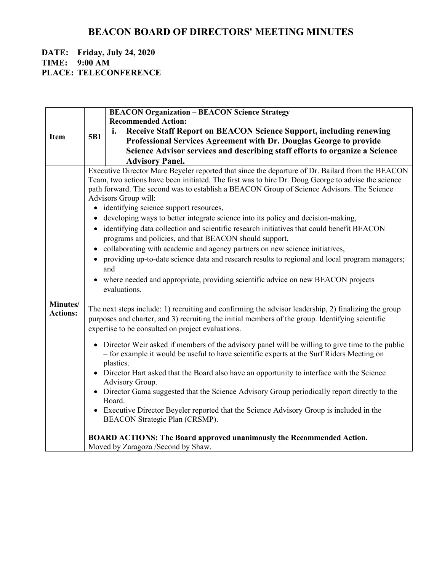#### **DATE: Friday, July 24, 2020 TIME: 9:00 AM PLACE: TELECONFERENCE**

|                             |           | <b>BEACON Organization - BEACON Science Strategy</b>                                                                                                                                                                                                                                                                                                                                                                                                                                                                                                                                                                                                                                                                                                                                                                                                                                                                                                                                                                                                                                                                                                                                                                                                                                                                                                                                                                                                                                                                                                                                                                                                                                                            |
|-----------------------------|-----------|-----------------------------------------------------------------------------------------------------------------------------------------------------------------------------------------------------------------------------------------------------------------------------------------------------------------------------------------------------------------------------------------------------------------------------------------------------------------------------------------------------------------------------------------------------------------------------------------------------------------------------------------------------------------------------------------------------------------------------------------------------------------------------------------------------------------------------------------------------------------------------------------------------------------------------------------------------------------------------------------------------------------------------------------------------------------------------------------------------------------------------------------------------------------------------------------------------------------------------------------------------------------------------------------------------------------------------------------------------------------------------------------------------------------------------------------------------------------------------------------------------------------------------------------------------------------------------------------------------------------------------------------------------------------------------------------------------------------|
|                             |           | <b>Recommended Action:</b>                                                                                                                                                                                                                                                                                                                                                                                                                                                                                                                                                                                                                                                                                                                                                                                                                                                                                                                                                                                                                                                                                                                                                                                                                                                                                                                                                                                                                                                                                                                                                                                                                                                                                      |
| <b>Item</b>                 | 5B1       | <b>Receive Staff Report on BEACON Science Support, including renewing</b><br>i.                                                                                                                                                                                                                                                                                                                                                                                                                                                                                                                                                                                                                                                                                                                                                                                                                                                                                                                                                                                                                                                                                                                                                                                                                                                                                                                                                                                                                                                                                                                                                                                                                                 |
|                             |           | Professional Services Agreement with Dr. Douglas George to provide                                                                                                                                                                                                                                                                                                                                                                                                                                                                                                                                                                                                                                                                                                                                                                                                                                                                                                                                                                                                                                                                                                                                                                                                                                                                                                                                                                                                                                                                                                                                                                                                                                              |
|                             |           | Science Advisor services and describing staff efforts to organize a Science                                                                                                                                                                                                                                                                                                                                                                                                                                                                                                                                                                                                                                                                                                                                                                                                                                                                                                                                                                                                                                                                                                                                                                                                                                                                                                                                                                                                                                                                                                                                                                                                                                     |
|                             |           | <b>Advisory Panel.</b>                                                                                                                                                                                                                                                                                                                                                                                                                                                                                                                                                                                                                                                                                                                                                                                                                                                                                                                                                                                                                                                                                                                                                                                                                                                                                                                                                                                                                                                                                                                                                                                                                                                                                          |
| Minutes/<br><b>Actions:</b> | $\bullet$ | Executive Director Marc Beyeler reported that since the departure of Dr. Bailard from the BEACON<br>Team, two actions have been initiated. The first was to hire Dr. Doug George to advise the science<br>path forward. The second was to establish a BEACON Group of Science Advisors. The Science<br>Advisors Group will:<br>• identifying science support resources,<br>developing ways to better integrate science into its policy and decision-making,<br>identifying data collection and scientific research initiatives that could benefit BEACON<br>programs and policies, and that BEACON should support,<br>collaborating with academic and agency partners on new science initiatives,<br>providing up-to-date science data and research results to regional and local program managers;<br>and<br>where needed and appropriate, providing scientific advice on new BEACON projects<br>evaluations.<br>The next steps include: 1) recruiting and confirming the advisor leadership, 2) finalizing the group<br>purposes and charter, and 3) recruiting the initial members of the group. Identifying scientific<br>expertise to be consulted on project evaluations.<br>Director Weir asked if members of the advisory panel will be willing to give time to the public<br>- for example it would be useful to have scientific experts at the Surf Riders Meeting on<br>plastics.<br>Director Hart asked that the Board also have an opportunity to interface with the Science<br>Advisory Group.<br>Director Gama suggested that the Science Advisory Group periodically report directly to the<br>Board.<br>Executive Director Beyeler reported that the Science Advisory Group is included in the |
|                             |           | BEACON Strategic Plan (CRSMP).                                                                                                                                                                                                                                                                                                                                                                                                                                                                                                                                                                                                                                                                                                                                                                                                                                                                                                                                                                                                                                                                                                                                                                                                                                                                                                                                                                                                                                                                                                                                                                                                                                                                                  |
|                             |           | <b>BOARD ACTIONS: The Board approved unanimously the Recommended Action.</b>                                                                                                                                                                                                                                                                                                                                                                                                                                                                                                                                                                                                                                                                                                                                                                                                                                                                                                                                                                                                                                                                                                                                                                                                                                                                                                                                                                                                                                                                                                                                                                                                                                    |
|                             |           | Moved by Zaragoza /Second by Shaw.                                                                                                                                                                                                                                                                                                                                                                                                                                                                                                                                                                                                                                                                                                                                                                                                                                                                                                                                                                                                                                                                                                                                                                                                                                                                                                                                                                                                                                                                                                                                                                                                                                                                              |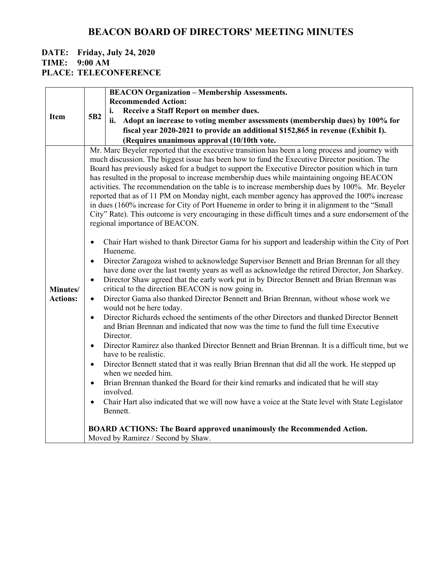#### **DATE: Friday, July 24, 2020 TIME: 9:00 AM PLACE: TELECONFERENCE**

|                             | <b>BEACON Organization - Membership Assessments.</b>                                                                                                                                                                                                                                                                                                                                                                                                                                                                                                                                                                                                                                                                                                                                                                                                                                                                                                                                                                                                                                                                                                                                                                                                                                                                                                         |
|-----------------------------|--------------------------------------------------------------------------------------------------------------------------------------------------------------------------------------------------------------------------------------------------------------------------------------------------------------------------------------------------------------------------------------------------------------------------------------------------------------------------------------------------------------------------------------------------------------------------------------------------------------------------------------------------------------------------------------------------------------------------------------------------------------------------------------------------------------------------------------------------------------------------------------------------------------------------------------------------------------------------------------------------------------------------------------------------------------------------------------------------------------------------------------------------------------------------------------------------------------------------------------------------------------------------------------------------------------------------------------------------------------|
|                             | <b>Recommended Action:</b>                                                                                                                                                                                                                                                                                                                                                                                                                                                                                                                                                                                                                                                                                                                                                                                                                                                                                                                                                                                                                                                                                                                                                                                                                                                                                                                                   |
| <b>Item</b>                 | Receive a Staff Report on member dues.<br>i.<br>5B <sub>2</sub>                                                                                                                                                                                                                                                                                                                                                                                                                                                                                                                                                                                                                                                                                                                                                                                                                                                                                                                                                                                                                                                                                                                                                                                                                                                                                              |
|                             | ii.<br>Adopt an increase to voting member assessments (membership dues) by 100% for                                                                                                                                                                                                                                                                                                                                                                                                                                                                                                                                                                                                                                                                                                                                                                                                                                                                                                                                                                                                                                                                                                                                                                                                                                                                          |
|                             | fiscal year 2020-2021 to provide an additional \$152,865 in revenue (Exhibit I).                                                                                                                                                                                                                                                                                                                                                                                                                                                                                                                                                                                                                                                                                                                                                                                                                                                                                                                                                                                                                                                                                                                                                                                                                                                                             |
|                             | (Requires unanimous approval (10/10th vote.                                                                                                                                                                                                                                                                                                                                                                                                                                                                                                                                                                                                                                                                                                                                                                                                                                                                                                                                                                                                                                                                                                                                                                                                                                                                                                                  |
|                             | Mr. Marc Beyeler reported that the executive transition has been a long process and journey with<br>much discussion. The biggest issue has been how to fund the Executive Director position. The<br>Board has previously asked for a budget to support the Executive Director position which in turn<br>has resulted in the proposal to increase membership dues while maintaining ongoing BEACON<br>activities. The recommendation on the table is to increase membership dues by 100%. Mr. Beyeler<br>reported that as of 11 PM on Monday night, each member agency has approved the 100% increase<br>in dues (160% increase for City of Port Hueneme in order to bring it in alignment to the "Small<br>City" Rate). This outcome is very encouraging in these difficult times and a sure endorsement of the<br>regional importance of BEACON.                                                                                                                                                                                                                                                                                                                                                                                                                                                                                                            |
| Minutes/<br><b>Actions:</b> | Chair Hart wished to thank Director Gama for his support and leadership within the City of Port<br>$\bullet$<br>Hueneme.<br>Director Zaragoza wished to acknowledge Supervisor Bennett and Brian Brennan for all they<br>$\bullet$<br>have done over the last twenty years as well as acknowledge the retired Director, Jon Sharkey.<br>Director Shaw agreed that the early work put in by Director Bennett and Brian Brennan was<br>$\bullet$<br>critical to the direction BEACON is now going in.<br>Director Gama also thanked Director Bennett and Brian Brennan, without whose work we<br>$\bullet$<br>would not be here today.<br>Director Richards echoed the sentiments of the other Directors and thanked Director Bennett<br>$\bullet$<br>and Brian Brennan and indicated that now was the time to fund the full time Executive<br>Director.<br>Director Ramirez also thanked Director Bennett and Brian Brennan. It is a difficult time, but we<br>$\bullet$<br>have to be realistic.<br>Director Bennett stated that it was really Brian Brennan that did all the work. He stepped up<br>$\bullet$<br>when we needed him.<br>Brian Brennan thanked the Board for their kind remarks and indicated that he will stay<br>involved.<br>Chair Hart also indicated that we will now have a voice at the State level with State Legislator<br>Bennett. |
|                             | <b>BOARD ACTIONS: The Board approved unanimously the Recommended Action.</b><br>Moved by Ramirez / Second by Shaw.                                                                                                                                                                                                                                                                                                                                                                                                                                                                                                                                                                                                                                                                                                                                                                                                                                                                                                                                                                                                                                                                                                                                                                                                                                           |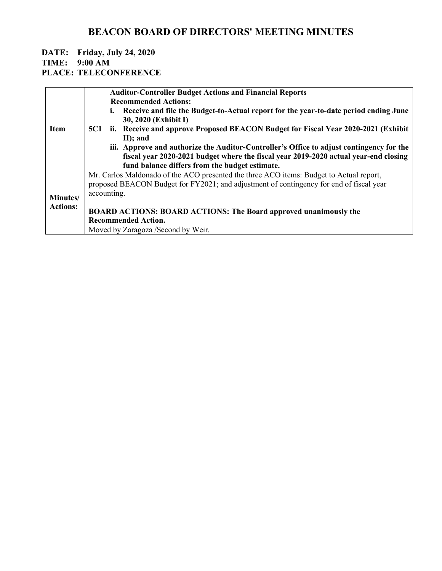#### **DATE: Friday, July 24, 2020 TIME: 9:00 AM PLACE: TELECONFERENCE**

| <b>Item</b>                 | <b>5C1</b> | <b>Auditor-Controller Budget Actions and Financial Reports</b><br><b>Recommended Actions:</b><br>Receive and file the Budget-to-Actual report for the year-to-date period ending June<br>ı.<br>30, 2020 (Exhibit I)<br>ii. Receive and approve Proposed BEACON Budget for Fiscal Year 2020-2021 (Exhibit<br>$II$ ; and<br>iii. Approve and authorize the Auditor-Controller's Office to adjust contingency for the<br>fiscal year 2020-2021 budget where the fiscal year 2019-2020 actual year-end closing<br>fund balance differs from the budget estimate. |
|-----------------------------|------------|--------------------------------------------------------------------------------------------------------------------------------------------------------------------------------------------------------------------------------------------------------------------------------------------------------------------------------------------------------------------------------------------------------------------------------------------------------------------------------------------------------------------------------------------------------------|
| Minutes/<br><b>Actions:</b> |            | Mr. Carlos Maldonado of the ACO presented the three ACO items: Budget to Actual report,<br>proposed BEACON Budget for FY2021; and adjustment of contingency for end of fiscal year<br>accounting.<br><b>BOARD ACTIONS: BOARD ACTIONS: The Board approved unanimously the</b><br><b>Recommended Action.</b><br>Moved by Zaragoza /Second by Weir.                                                                                                                                                                                                             |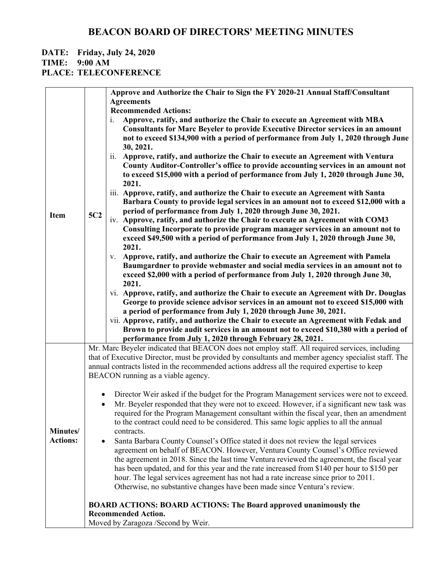### **DATE: Friday, July 24, 2020**

**TIME: 9:00 AM**

**PLACE: TELECONFERENCE**

|                 |                                                                                                       | Approve and Authorize the Chair to Sign the FY 2020-21 Annual Staff/Consultant                                                                                               |  |
|-----------------|-------------------------------------------------------------------------------------------------------|------------------------------------------------------------------------------------------------------------------------------------------------------------------------------|--|
|                 |                                                                                                       | <b>Agreements</b>                                                                                                                                                            |  |
|                 |                                                                                                       | <b>Recommended Actions:</b>                                                                                                                                                  |  |
|                 |                                                                                                       | Approve, ratify, and authorize the Chair to execute an Agreement with MBA<br>$\mathbf{i}$ .                                                                                  |  |
|                 |                                                                                                       | <b>Consultants for Marc Beyeler to provide Executive Director services in an amount</b>                                                                                      |  |
|                 |                                                                                                       | not to exceed \$134,900 with a period of performance from July 1, 2020 through June                                                                                          |  |
|                 |                                                                                                       | 30, 2021.                                                                                                                                                                    |  |
|                 |                                                                                                       | Approve, ratify, and authorize the Chair to execute an Agreement with Ventura<br>$\overline{11}$ .                                                                           |  |
|                 |                                                                                                       | County Auditor-Controller's office to provide accounting services in an amount not                                                                                           |  |
|                 |                                                                                                       | to exceed \$15,000 with a period of performance from July 1, 2020 through June 30,                                                                                           |  |
|                 |                                                                                                       | 2021.                                                                                                                                                                        |  |
|                 |                                                                                                       | iii. Approve, ratify, and authorize the Chair to execute an Agreement with Santa                                                                                             |  |
|                 |                                                                                                       | Barbara County to provide legal services in an amount not to exceed \$12,000 with a                                                                                          |  |
| <b>Item</b>     | 5C2                                                                                                   | period of performance from July 1, 2020 through June 30, 2021.                                                                                                               |  |
|                 |                                                                                                       | iv. Approve, ratify, and authorize the Chair to execute an Agreement with COM3                                                                                               |  |
|                 |                                                                                                       | Consulting Incorporate to provide program manager services in an amount not to                                                                                               |  |
|                 |                                                                                                       | exceed \$49,500 with a period of performance from July 1, 2020 through June 30,                                                                                              |  |
|                 |                                                                                                       | 2021.                                                                                                                                                                        |  |
|                 |                                                                                                       | Approve, ratify, and authorize the Chair to execute an Agreement with Pamela<br>V.                                                                                           |  |
|                 |                                                                                                       | Baumgardner to provide webmaster and social media services in an amount not to                                                                                               |  |
|                 |                                                                                                       | exceed \$2,000 with a period of performance from July 1, 2020 through June 30,                                                                                               |  |
|                 |                                                                                                       | 2021.                                                                                                                                                                        |  |
|                 |                                                                                                       | vi. Approve, ratify, and authorize the Chair to execute an Agreement with Dr. Douglas                                                                                        |  |
|                 |                                                                                                       | George to provide science advisor services in an amount not to exceed \$15,000 with                                                                                          |  |
|                 |                                                                                                       | a period of performance from July 1, 2020 through June 30, 2021.                                                                                                             |  |
|                 |                                                                                                       | vii. Approve, ratify, and authorize the Chair to execute an Agreement with Fedak and<br>Brown to provide audit services in an amount not to exceed \$10,380 with a period of |  |
|                 |                                                                                                       | performance from July 1, 2020 through February 28, 2021.                                                                                                                     |  |
|                 |                                                                                                       | Mr. Marc Beyeler indicated that BEACON does not employ staff. All required services, including                                                                               |  |
|                 |                                                                                                       | that of Executive Director, must be provided by consultants and member agency specialist staff. The                                                                          |  |
|                 |                                                                                                       | annual contracts listed in the recommended actions address all the required expertise to keep                                                                                |  |
|                 |                                                                                                       | BEACON running as a viable agency.                                                                                                                                           |  |
|                 |                                                                                                       |                                                                                                                                                                              |  |
|                 | $\bullet$                                                                                             | Director Weir asked if the budget for the Program Management services were not to exceed.                                                                                    |  |
|                 | $\bullet$                                                                                             | Mr. Beyeler responded that they were not to exceed. However, if a significant new task was                                                                                   |  |
|                 |                                                                                                       | required for the Program Management consultant within the fiscal year, then an amendment                                                                                     |  |
|                 |                                                                                                       | to the contract could need to be considered. This same logic applies to all the annual                                                                                       |  |
| Minutes/        |                                                                                                       | contracts.                                                                                                                                                                   |  |
| <b>Actions:</b> | ٠                                                                                                     | Santa Barbara County Counsel's Office stated it does not review the legal services                                                                                           |  |
|                 |                                                                                                       | agreement on behalf of BEACON. However, Ventura County Counsel's Office reviewed                                                                                             |  |
|                 |                                                                                                       | the agreement in 2018. Since the last time Ventura reviewed the agreement, the fiscal year                                                                                   |  |
|                 |                                                                                                       | has been updated, and for this year and the rate increased from \$140 per hour to \$150 per                                                                                  |  |
|                 |                                                                                                       | hour. The legal services agreement has not had a rate increase since prior to 2011.                                                                                          |  |
|                 |                                                                                                       | Otherwise, no substantive changes have been made since Ventura's review.                                                                                                     |  |
|                 | <b>BOARD ACTIONS: BOARD ACTIONS: The Board approved unanimously the</b><br><b>Recommended Action.</b> |                                                                                                                                                                              |  |
|                 |                                                                                                       |                                                                                                                                                                              |  |
|                 |                                                                                                       | Moved by Zaragoza /Second by Weir.                                                                                                                                           |  |